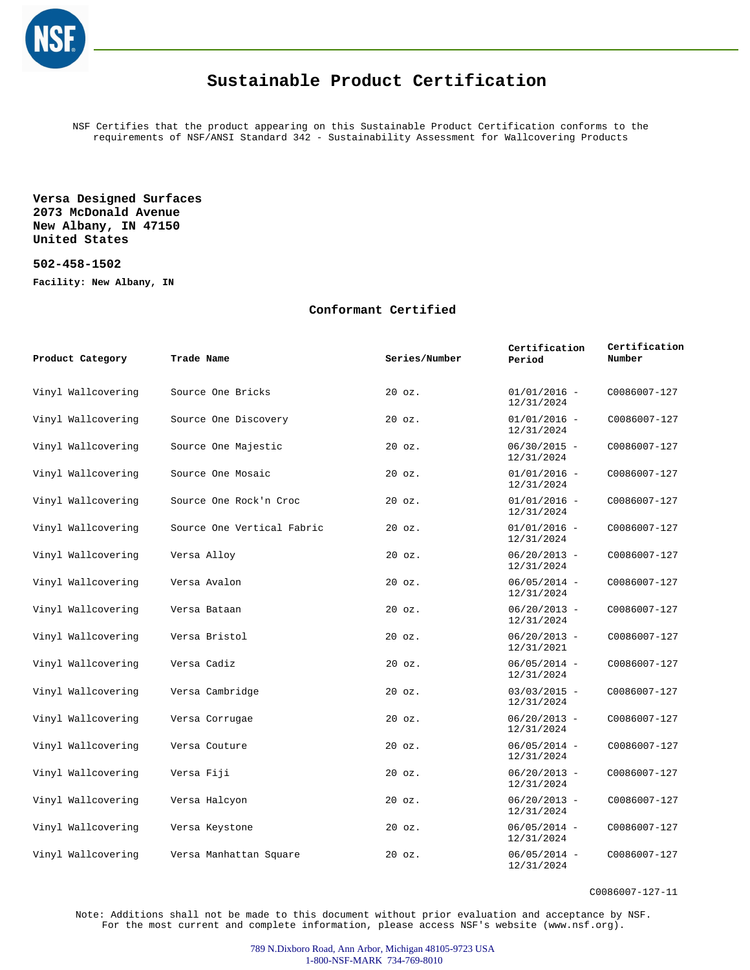

## **Sustainable Product Certification**

NSF Certifies that the product appearing on this Sustainable Product Certification conforms to the requirements of NSF/ANSI Standard 342 - Sustainability Assessment for Wallcovering Products

**Versa Designed Surfaces 2073 McDonald Avenue New Albany, IN 47150 United States**

**502-458-1502**

**Facility: New Albany, IN**

## **Conformant Certified**

| Product Category   | Trade Name                 | Series/Number | Certification<br>Period      | Certification<br>Number |
|--------------------|----------------------------|---------------|------------------------------|-------------------------|
| Vinyl Wallcovering | Source One Bricks          | $20$ $oz.$    | $01/01/2016 -$<br>12/31/2024 | C0086007-127            |
| Vinyl Wallcovering | Source One Discovery       | $20$ $oz.$    | $01/01/2016 -$<br>12/31/2024 | C0086007-127            |
| Vinyl Wallcovering | Source One Majestic        | $20$ $oz.$    | $06/30/2015 -$<br>12/31/2024 | C0086007-127            |
| Vinyl Wallcovering | Source One Mosaic          | $20$ $oz.$    | $01/01/2016 -$<br>12/31/2024 | C0086007-127            |
| Vinyl Wallcovering | Source One Rock'n Croc     | $20$ $oz.$    | $01/01/2016 -$<br>12/31/2024 | C0086007-127            |
| Vinyl Wallcovering | Source One Vertical Fabric | $20$ $oz.$    | $01/01/2016 -$<br>12/31/2024 | C0086007-127            |
| Vinyl Wallcovering | Versa Alloy                | $20$ $oz.$    | $06/20/2013 -$<br>12/31/2024 | C0086007-127            |
| Vinyl Wallcovering | Versa Avalon               | $20$ $oz.$    | $06/05/2014 -$<br>12/31/2024 | C0086007-127            |
| Vinyl Wallcovering | Versa Bataan               | $20$ $oz.$    | $06/20/2013 -$<br>12/31/2024 | C0086007-127            |
| Vinyl Wallcovering | Versa Bristol              | $20$ $oz.$    | $06/20/2013 -$<br>12/31/2021 | C0086007-127            |
| Vinyl Wallcovering | Versa Cadiz                | $20$ $oz.$    | $06/05/2014 -$<br>12/31/2024 | C0086007-127            |
| Vinyl Wallcovering | Versa Cambridge            | $20$ $oz.$    | $03/03/2015 -$<br>12/31/2024 | C0086007-127            |
| Vinyl Wallcovering | Versa Corrugae             | $20$ $oz.$    | $06/20/2013 -$<br>12/31/2024 | C0086007-127            |
| Vinyl Wallcovering | Versa Couture              | $20$ $oz.$    | $06/05/2014 -$<br>12/31/2024 | C0086007-127            |
| Vinyl Wallcovering | Versa Fiji                 | $20$ $oz.$    | $06/20/2013 -$<br>12/31/2024 | C0086007-127            |
| Vinyl Wallcovering | Versa Halcyon              | $20$ $oz.$    | $06/20/2013 -$<br>12/31/2024 | C0086007-127            |
| Vinyl Wallcovering | Versa Keystone             | $20$ $oz.$    | $06/05/2014 -$<br>12/31/2024 | C0086007-127            |
| Vinyl Wallcovering | Versa Manhattan Square     | $20$ $oz.$    | $06/05/2014 -$<br>12/31/2024 | C0086007-127            |

C0086007-127-11

Note: Additions shall not be made to this document without prior evaluation and acceptance by NSF. For the most current and complete information, please access NSF's website (www.nsf.org).

> 789 N.Dixboro Road, Ann Arbor, Michigan 48105-9723 USA 1-800-NSF-MARK 734-769-8010